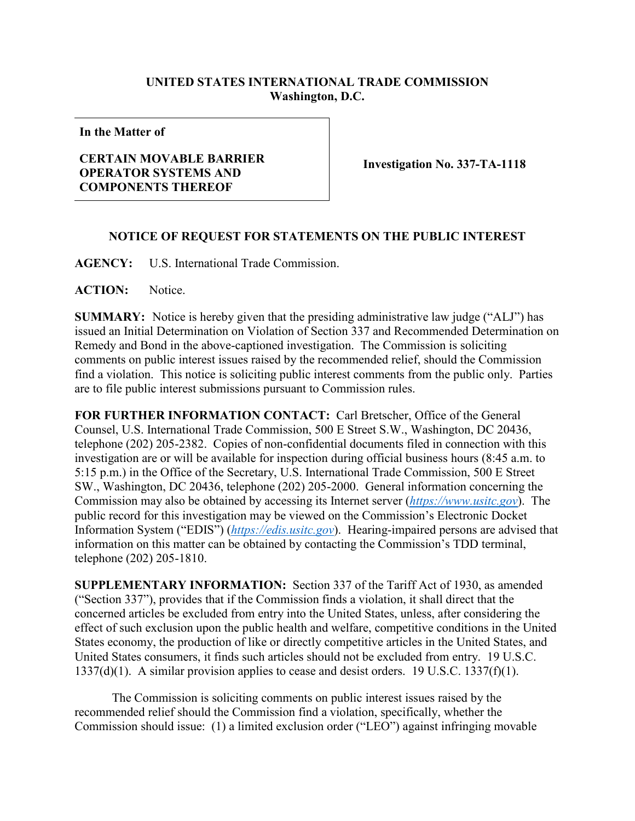## **UNITED STATES INTERNATIONAL TRADE COMMISSION Washington, D.C.**

**In the Matter of**

## **CERTAIN MOVABLE BARRIER OPERATOR SYSTEMS AND COMPONENTS THEREOF**

**Investigation No. 337-TA-1118**

## **NOTICE OF REQUEST FOR STATEMENTS ON THE PUBLIC INTEREST**

**AGENCY:** U.S. International Trade Commission.

**ACTION:** Notice.

**SUMMARY:** Notice is hereby given that the presiding administrative law judge ("ALJ") has issued an Initial Determination on Violation of Section 337 and Recommended Determination on Remedy and Bond in the above-captioned investigation. The Commission is soliciting comments on public interest issues raised by the recommended relief, should the Commission find a violation. This notice is soliciting public interest comments from the public only. Parties are to file public interest submissions pursuant to Commission rules.

**FOR FURTHER INFORMATION CONTACT:** Carl Bretscher, Office of the General Counsel, U.S. International Trade Commission, 500 E Street S.W., Washington, DC 20436, telephone (202) 205-2382. Copies of non-confidential documents filed in connection with this investigation are or will be available for inspection during official business hours (8:45 a.m. to 5:15 p.m.) in the Office of the Secretary, U.S. International Trade Commission, 500 E Street SW., Washington, DC 20436, telephone (202) 205-2000. General information concerning the Commission may also be obtained by accessing its Internet server (*[https://www.usitc.gov](https://www.usitc.gov/)*). The public record for this investigation may be viewed on the Commission's Electronic Docket Information System ("EDIS") (*[https://edis.usitc.gov](https://edis.usitc.gov/)*). Hearing-impaired persons are advised that information on this matter can be obtained by contacting the Commission's TDD terminal, telephone (202) 205-1810.

**SUPPLEMENTARY INFORMATION:** Section 337 of the Tariff Act of 1930, as amended ("Section 337"), provides that if the Commission finds a violation, it shall direct that the concerned articles be excluded from entry into the United States, unless, after considering the effect of such exclusion upon the public health and welfare, competitive conditions in the United States economy, the production of like or directly competitive articles in the United States, and United States consumers, it finds such articles should not be excluded from entry. 19 U.S.C. 1337(d)(1). A similar provision applies to cease and desist orders. 19 U.S.C. 1337(f)(1).

The Commission is soliciting comments on public interest issues raised by the recommended relief should the Commission find a violation, specifically, whether the Commission should issue: (1) a limited exclusion order ("LEO") against infringing movable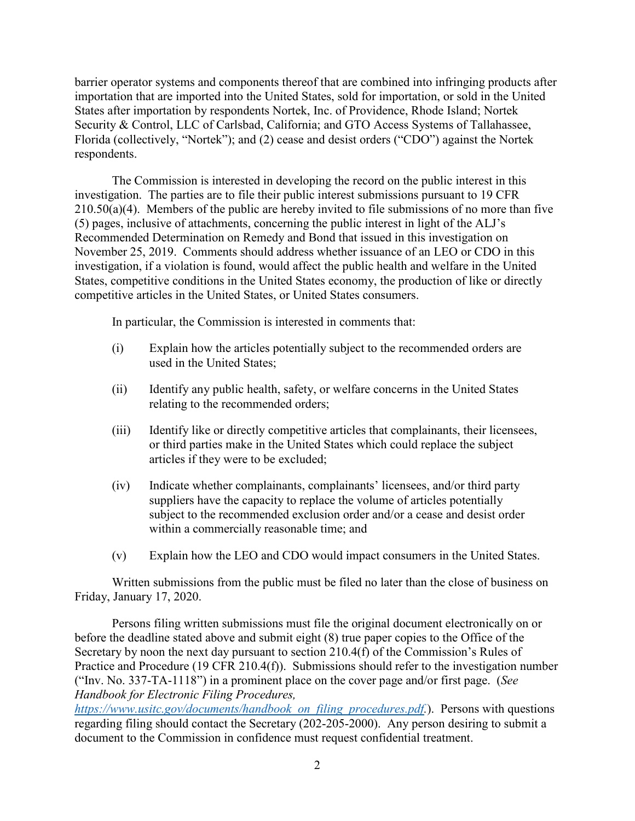barrier operator systems and components thereof that are combined into infringing products after importation that are imported into the United States, sold for importation, or sold in the United States after importation by respondents Nortek, Inc. of Providence, Rhode Island; Nortek Security & Control, LLC of Carlsbad, California; and GTO Access Systems of Tallahassee, Florida (collectively, "Nortek"); and (2) cease and desist orders ("CDO") against the Nortek respondents.

The Commission is interested in developing the record on the public interest in this investigation. The parties are to file their public interest submissions pursuant to 19 CFR  $210.50(a)(4)$ . Members of the public are hereby invited to file submissions of no more than five (5) pages, inclusive of attachments, concerning the public interest in light of the ALJ's Recommended Determination on Remedy and Bond that issued in this investigation on November 25, 2019. Comments should address whether issuance of an LEO or CDO in this investigation, if a violation is found, would affect the public health and welfare in the United States, competitive conditions in the United States economy, the production of like or directly competitive articles in the United States, or United States consumers.

In particular, the Commission is interested in comments that:

- (i) Explain how the articles potentially subject to the recommended orders are used in the United States;
- (ii) Identify any public health, safety, or welfare concerns in the United States relating to the recommended orders;
- (iii) Identify like or directly competitive articles that complainants, their licensees, or third parties make in the United States which could replace the subject articles if they were to be excluded;
- (iv) Indicate whether complainants, complainants' licensees, and/or third party suppliers have the capacity to replace the volume of articles potentially subject to the recommended exclusion order and/or a cease and desist order within a commercially reasonable time; and
- (v) Explain how the LEO and CDO would impact consumers in the United States.

Written submissions from the public must be filed no later than the close of business on Friday, January 17, 2020.

Persons filing written submissions must file the original document electronically on or before the deadline stated above and submit eight (8) true paper copies to the Office of the Secretary by noon the next day pursuant to section 210.4(f) of the Commission's Rules of Practice and Procedure (19 CFR 210.4(f)). Submissions should refer to the investigation number ("Inv. No. 337-TA-1118") in a prominent place on the cover page and/or first page. (*See Handbook for Electronic Filing Procedures,*

*[https://www.usitc.gov/documents/handbook\\_on\\_filing\\_procedures.pdf.](https://www.usitc.gov/documents/handbook_on_filing_procedures.pdf)*). Persons with questions regarding filing should contact the Secretary (202-205-2000). Any person desiring to submit a document to the Commission in confidence must request confidential treatment.